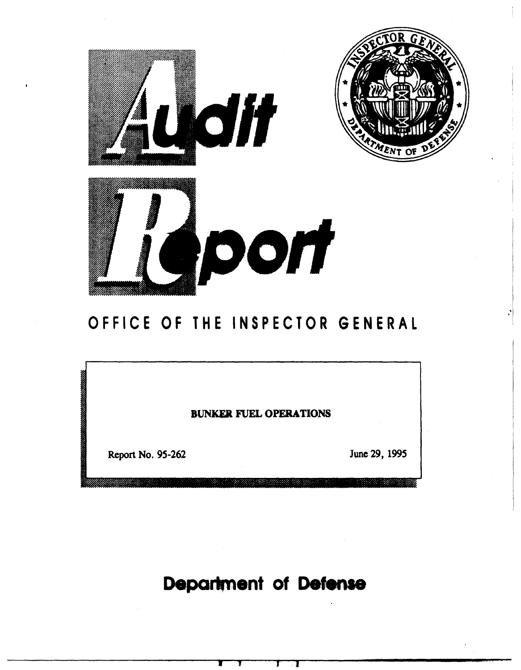

# OFFICE OF THE INSPECTOR GENERAL

BUNKER FUEL OPERATIONS

Report No. 95-262

June 29, 1995

Department of Defense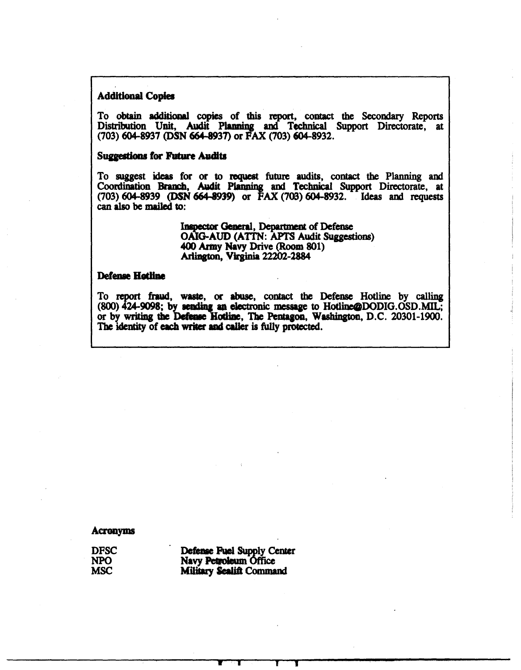### Additional Copies

To obtain additional copies of this report, contact the Secondary Reports Distribution Unit, Audit Planning and Technical Support Directorate, at (703) 604-8937 (DSN 664-8937) or FAX (703) 604-8932.

### **Suggestions for Future Audits**

To suggest ideas for or to request future audits, contact the PJanning and Coordination Branch, Audit Planning and Technical Support Directorate, at (703) 604-8939 (DSN 664-8939) or FAX (703) 604-8932. Ideas and requests can also be mailed to:

> Inspector General, Department of Defense OAIG-AUD (ATTN: APTS Audit Suggestions) 400 Aray Navy Drive (Room 801) Arlington, Virginia 22202-2884

### Defense Hatline

To fraud, waste, or abuse, contact the Defense Hotline by calling  $(800)$   $424-9098$ ; by sending an electronic message to Hotline@DODIG.OSD.MIL; or by writing the Defense Hotline, The Pentagon, Washington, D.C. 20301-1900. The identity of each writer and caller is fully protected.

#### Acronyms

DFSC NPO **MSC** 

| Defense Fuel Supply Center      |
|---------------------------------|
| Navy Petroleum Office           |
| <b>Military Scalift Command</b> |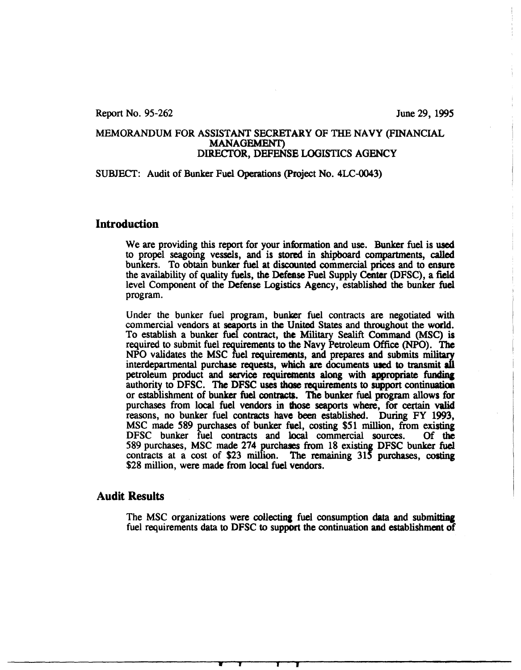Report No. 95-262 June 29, 1995

### MEMORANDUM FOR ASSISTANT SECRETARY OF THE NAVY (FINANCIAL MANAGEMENT) DIRECTOR, DEFENSE LOGISTICS AGENCY

### SUBJECT: Audit of Bunker Fuel Operations (Project No. 4LC-0043)

### **Introduction**

We are providing this report for your information and use. Bunker fuel is used to propel seagoing vessels, and is stored in shipboard compartments, called bunkers. To obtain bunker fuel at discounted commercial prices and to ensure the availability of quality fuels, the Defease Fuel Supply Center (DFSC), a field level Component of the Defense Logistics Agency, established the bunker fuel program.

Under the bunker fuel program, bunker fuel contracts are negotiated with commercial vendors at seaports in the United States and throughout the world. To establish a bunker fuel contract, the Military Sealift Command (MSC) is required to submit fuel requirements to the Navy Petroleum Office (NPO). The NPO validates the MSC fuel requirements, and prepares and submits military interdepartmental purchase requests, which are documents used to transmit all petroleum product and service requirements along with appropriate funding authority to DFSC. The DFSC uses those requirements to support continuation or establishment of bunker fuel contract\$. The bunker fuel program allows for purchases from local fuel vendors in those seaports where, for certain valid reasons, no bunker fuel contracts have been established. During FY 1993, MSC made 589 purchases of bunker fuel, costing \$51 million, from existing DFSC bunker fuel contracts and local commercial sources. Of the DFSC bunker fuel contracts and local commercial sources. 589 purchases, MSC made 274 purchases from 18 existing DFSC bunker fuel contracts at a cost of \$23 million. The remaining 315 purchases, costing \$28 million, were made from local fuel vendors.

### Audit Results

The MSC organizations were collecting fuel consumption data and submitting fuel requirements data to DFSC to support the continuation and establishment of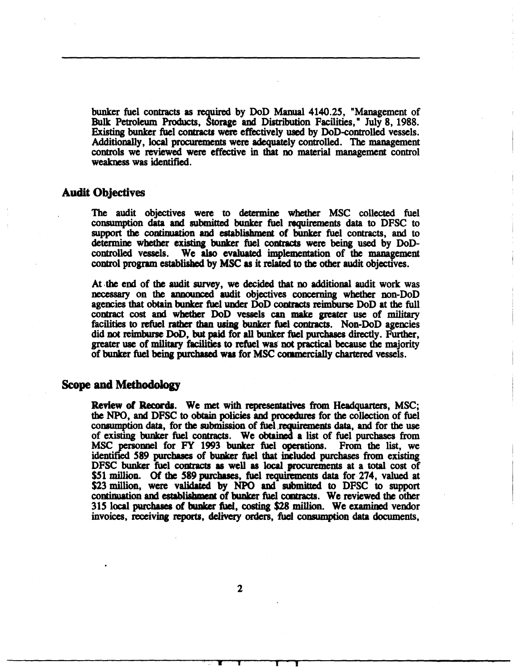bunker fuel contracts as required by DoD Manual 4140.2S, "Management of Bulk Petroleum Products, Storage and Distribution Facilities," July 8, 1988. Existing bunker fuel contracts were effectively used by DoD-conttolled vessels. Additionally, local procurements were adequately controlled. The management controls we reviewed were effective in that no material management control weakness was identified.

### Audit Objectives

The audit objectives were to determine whether MSC collected fuel consumption data and submitted bunker fuel requirements data to DFSC to support the continuation and establishment of bunker fuel contracts, and to determine whether existing bunker fuel contracts were being used by DoDcontrolled vessels. We also evaluated implementation of the management control program established by MSC as it related to the other audit objectives.

At .the end of the audit survey, we decided that no additional audit work was necessary on the announced audit objectives concerning whether non-DoD agencies that obtain bunker fuel under DoD contracts reimburse DoD at the full contract cost and whether DoD vessels can make greater use of military facilities to refuel rather than using bunker fuel contracts. Non-DoD agencies did not reimburse DoD, but paid for all bunker fuel purchases directly. Further, greater use of military facilities to refuel was· not practical because the majority of bunker fuel being purcbued was for MSC commercially chartered vessels.

### Scope and Methodolo&Y

Review of Record&. We met with representatives from Headquarters, MSC; the NPO, and DFSC to obtain policies and procedums for the collection of fuel consumption data, for the submission of fuel requirements data, and for the use of existing bunker fuel contracts. We obtained a list of fuel purchases from MSC personnel for FY 1993 bunker fuel operations. From the list, we identified *S89* purchases of bunker fuel that included purchases from existing DFSC bunker fuel contracts as well as local procurements at a total cost of \$51 million. Of the 589 purchases, fuel requirements data for 274, valued at \$23 million, were validated by NPO and submitted to DFSC to support continuation and establishment of bunker fuel contracts. We reviewed the other 315 local purchases of bunker fuel, costing \$28 million. We examined vendor invoices, receiving reports, delivery orders, fuel consumption data documents,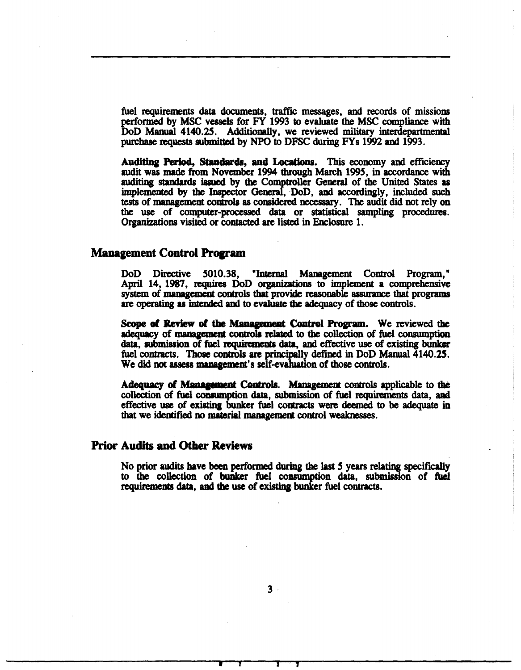fuel requirements data documents, traffic messages, and records of missions performed by MSC vessels for FY 1993 to evaluate the MSC compliance with DoD Manual 4140.25. Additionally, we reviewed military interdepartmental purchase requests submitted by NPO to DFSC during FYs 1992 and 1993.

Auditing Period, Standards, and Locations. This economy and efficiency audit was made from November 1994 through March 1995, in accordance with auditing standards issued by the Comptroller General of the United States as implemented by the Inspector General, DoD, and accordingly, included such tests of management controls as considered necessary. The audit did not rely on the use of computer-processed data or statistical sampling procedures. Organizations visited or contacted are listed in Enclosure 1.

### **Management Control Program**

DoD Directive 5010.38, "Internal Management Control Program," April 14, 1987, requires DoD organizations to implement a comprehensive system of management controls that provide reasonable assurance that programs are operating as intended and to evaluate tbe adequacy of those controls.

Scope of Review of the Management Control Program. We reviewed the adequacy of management controla related to the collection of fuel consumption data, submission of fuel requirements data, and effective use of existing bunker fuel contracts. Those controls are principally defined in DoD Manual 4140.25. We did not assess management's self-evaluation of those controls.

Adequacy of Management Controls. Management controls applicable to the collection of fuel comumption data, submission of fuel requirements data, and effective use of existing bunker fuel contracts were deemed to be adequate in that we identified no material managemem control weaknesses.

### Prior Audits and Other Reviews

No prior audits have been performed during the last S years relating specifically to the collection of bunker fuel consumption data, submission of fuel requirements data, and the use of existing bunker fuel contracts.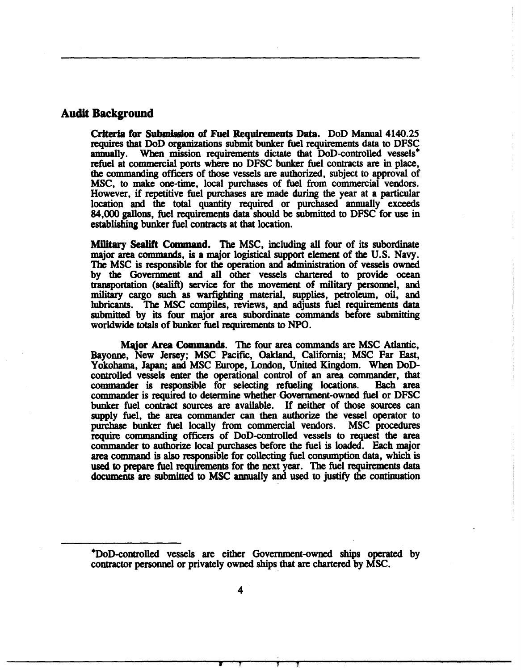### Audit Background

Criteria for Submission of Fuel Requirements Data. DoD Manual 4140.25 requires that DoD organizations submit bunker fuel requirements data to DFSC annually. When mission requirements dictate that DoD-controlled vessels<sup>\*</sup> refuel at commercial ports where no DFSC bunker fuel contracts are in place, the commanding officers of those vessels are authorized, subject to approval of MSC, to make one-time, local purchases of fuel from commercial vendors. However, if repetitive fuel purchases are made during the year at a particular location and the total quantity required or purchased annually exceeds 84,000 gallons, fuel requirements data should be submitted to DFSC for use in establishing bunker fuel contracts at that location.

Milltary Sealift Command. The MSC, including all four of its subordinate major area commands, is a major logistical support element of the U.S. Navy. The MSC is responsible for the operation and administration of vessels owned by the Government and all other vessels chartered to provide ocean transportation (sealift) service for the movement of military personnel, and military cargo such as warfighting material, supplies, petroleum, oil, and lubricants. The MSC compiles, reviews, and adjusts fuel requirements data submitted by its four major area subordinate commands before submitting worldwide totals of bunker fuel requirements to NPO.

Major Area Commands. The four area commands are MSC Atlantic, Bayonne, New Jersey; MSC Pacific, OakJand, California; MSC Far East, Yokohama, Japan; and MSC Europe, London, United Kingdom. When DoDcontrolled vessels enter the operational control of an area commander, that commander is responsible for selecting refueling locations. Each area commander is responsible for selecting refueling locations. commander is required to determine whether·Government-owned fuel or DFSC bunker fuel contract sources are available. If neither of those sources can supply fuel, the area commander can then authorize the vessel operator to purchase bunker fuel locally from commercial vendors. MSC procedures require commanding officers of DoD-controlled vessels to request the area commander to authorize local purchases before the fuel is loaded. Each major area command is also responsible for collecting fuel consumption data, which is used to prepare fuel requirements for the next year. The fuel requirements data documents are submitted to MSC annually and used to justify the continuation

<sup>\*</sup>DoD-controlled vessels are either Government-owned ships operated by contractor personnel or privately owned ships that are chartered by MSC.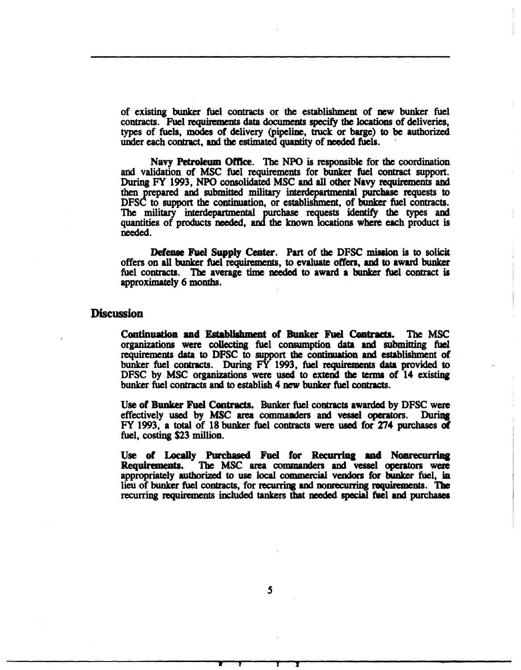of existing bunker fuel contracts or the establishment of new bunker fuel contracts. Fuel requirements data documents specify the locations of deliveries, types of fuels, modes of delivery (pipeline, truck or barge) to be authorized under each contract, and the estimated quantity of needed fuels.

Navy Petroleum Offtce. The NPO is responsible for the coordination and validation of MSC fuel requirements for bunker fuel contract support. During FY 1993, NPO consolidated MSC and all other Navy requirements and then prepared and submitted military interdepartmental purchase requests to DFSC to support the continuation, or establishment, of bunker fuel contracts. The military interdepartmental purchase requests identify the types and quantities of products needed, and the known locations where each product is needed.

Defense Fuel Supply Center. Part of the DFSC mission is to solicit offers on all bunker fuel requirements, to evaluate offers, and to award bunker fuel contracts. The average time needed to award a bunker fuel contract is approximately 6 months.

### **Discussion**

Continuation and Establishment of Bunker Fuel Contracts. The MSC organizations were collecting fuel consumption data and submitting fuel requirements data to DFSC to support the continuation and establishment of bunker fuel contracts. During  $\overline{FY}$  1993, fuel requirements data provided to DFSC by MSC organizations were used to extend the terms of 14 existing bunker fuel contracts and to establish 4 new bunker fuel contracts.

Use of Bunker Fuel Contracts. Bunker fuel contracts awarded by DFSC were effectively used by MSC area commanders and vessel operators. During effectively used by MSC area commanders and vessel operators. FY 1993, a total of 18 bunker fuel contracts were used for 274 purchases Of fuel, costing \$23 million.

Use of Locally Purchased Fuel for Recurring and Nonrecurring<br>Requirements. The MSC area commanders and vessel operators were The MSC area commanders and vessel operators were appropriately authorized to use local commercial vendors for bunker fuel, in lieu of bunker fuel contracts, for recurring and nonrecurring requirements. The recurring requirements included tankers that needed special fuel and purchases

*s*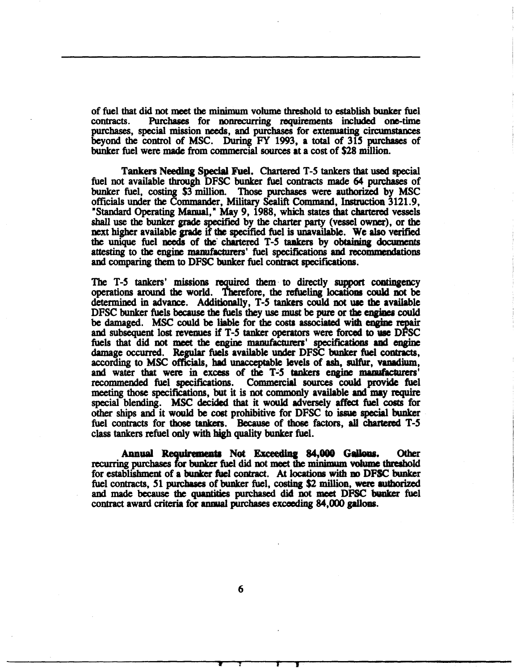of fuel that did not meet the minimum volume threshold to establish bunker fuel<br>contracts. Purchases for nonrecurring requirements included one-time Purchases for nonrecurring requirements included one-time purchases, special mission needs, and purchases for extenuating circumstances beyond the control of MSC. During FY 1993, a total of 315 purchases of bunker fuel were made from commercial sources at a cost of \$28 million.

Tankers Needina Special Fuel. Chartered T-5 tankers that used special fuel not available through DFSC bunker fuel contracts made 64 purchases of bunker fuel, costing \$3 million. Those purchases were authorized by MSC officials under the Commander, Military Sealift Command, Instruction 3121.9, "Standard Operating Manual," May 9, 1988, which states that chartered vessels shall use the bunker grade specified by the charter party (vessel owner), or the next higher available grade if tbe specified fuel is unavailable. We also verified the unique fuel needs of the' chartered T-5 taakers by obtaining documents attesting to the engine manufacturers' fuel specifications and recommendations and comparing them to DFSC bunker fuel contract specifications.

The T-5 tankers' missions required them to directly support contingency operations around the world. Therefore, the refueling locations could not be determined in advance. Additionally, T-5 tankers could not use the available DFSC bunker fuels because the fuels they use must be pure or the engines could be damaged. MSC could be liable for the costs associated with engine repair and subsequent lost revenues if *T-S* tanker operators were forced to we DFSC fuels that did not meet the engine manufacturers' specifications and engine damage occurred. Regular fuels available under DFSC bunker fuel contracts, according to MSC officials, had unacceptable levels of ash, sulfur, vanadium, and water that were in excess of the T-5 tankers engine manufacturers' recommended fuel specifications. Commercial sources could provide fuel meeting those specifications, but it is not commonly available and may require special blending. MSC decided that it would adversely affect fuel costs for other ships and it would be cost prohibitive for DFSC to issue special bunker fuel contracts for those tankers. Because of those factors, all chartered T-5 class tankers refuel only with high quality bunker fuel.

Annual Requirements Not Exceeding 84,000 Gallons. Other recurring purchases for bunker fuel did not meet the minimum volume threshold for establishment of a bunker fuel contract. At locations with no DFSC bunker fuel contracts, 51 purchases of bunker fuel, costing \$2 million, were authorized and made because the quantities purchased did not meet DFSC bunker fuel contract award criteria for annual purchases exceeding 84,000 gallons.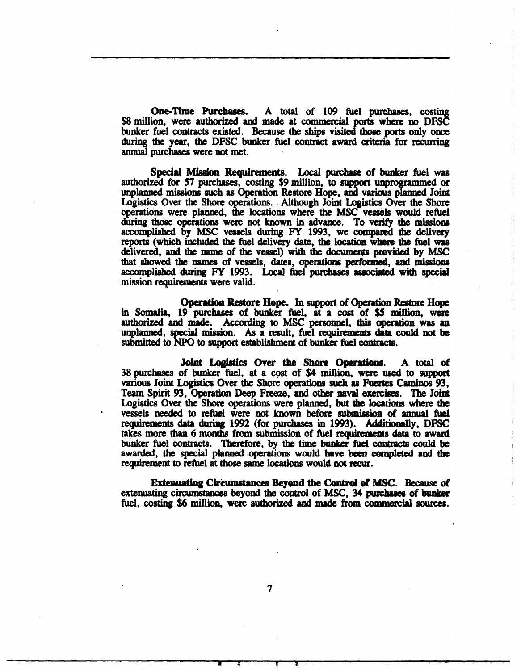One-Time Purclaases. A total of 109 fuel purchases, costing \$8 million, were authorized and made at commercial ports where no DFSC bunker fuel contracts existed. Because the ships visited those ports only once during the year, the DFSC bunker fuel contract award criteria for recurring annual purchases were not met.

Special Mission Requirements. Local purchase of bunker fuel was authorized for 57 purchases, costing \$9 million, to support unprogrammed or unplanned missions such as Operation Restore Hope, and various planned Joint Logistics Over the Shore operations. Although Joint Logistics Over the Shore operations were planned, the locations where the MSC vessels would refuel during those operations were not known in advance. To verify the missiom accomplished by MSC vessels during FY 1993, we compued the delivery reports (which included the fuel delivery date, the location where the fuel was delivered, and the name of the vessel) with the documents provided by MSC that showed the names of vessels, dates, operations performed, and missions accomplished during FY 1993. Local fuel purchases associated with special mission requirements were valid.

Operation Restore Hope. In support of Operation Restore Hope in Somalia, 19 purchases of bunker fuel, at a cost of \$5 million, were authorized and made. According to MSC personnel, this operation was an unplanned, special mission. As a result, fuel requirements data could not be submitted to NPO to support establishment of bunker fuel contracts.

Joint Logistics Over the Shore Operations. A total of 38 purchases of bunker fuel, at a C9st of \$4 million, were used to support various Joint Logistics Over the Shore operations such as Fuertes Caminos 93, Team Spirit 93, Operation Deep Freeze, and other naval exercises. The Joint Logistics Over the Shore operations were planned, but the locations where the vessels needed to refuel were not known before submission of annual fuel requirements data during 1992 (for purchases in 1993). Additionally, DFSC takes more than 6 months from submission of fuel requirements data to award bunker fuel contracts. Therefore, by the time bunker fuel contracts could be awarded, the special planned operations would have been completed and the requirement to refuel at those same locations would not recur.

Extenuating Circumstances Beyond the Control of MSC. Because of extenuating circumstances beyond the control of MSC, 34 purchases of bunker fuel, costing \$6 million, were authorized and made from commercial sources.

..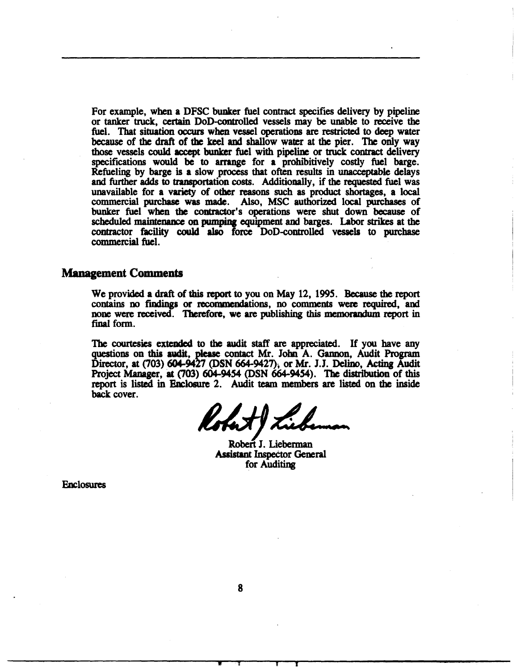For example, when a DFSC bunker fuel contract specifies delivery by pipeline or tanker truck, certain DoD-controlled vessels may be unable to receive the fuel. That situation occurs when vessel operations are restricted to deep water because of the draft of the keel and shallow water at the pier. The only way those vessels could accept bunker fuel with pipeline or truck contract delivery specifications would be to arrange for a prohibitively costly fuel barge. Refueling by barge is a slow process that often results in unacceptable delays and further adds to transportation costs. Additionally, if the requested fuel was unavailable for a variety of other reasons such as product shortages, a local commercial purchase was made. Also, MSC authorized local purchases of bunker fuel when the contractor's operations were shut down because of scheduled maintenance on pumpina equipment and barges. Labor strikes at the contractor facility could also force DoD-controlled vessels to purchase commercial fuel.

### **Management Comments**

We provided a draft of this report to you on May 12, 199S. Because the report contains no findinas or recommendations, no comments were required, and none were received. Therefore, we are publishing this memorandum report in final form.

The courtesies extended to the audit staff are appreciated. If you have any questions on this audit, please contact Mr. John A. Gannon, Audit Program Director, at (703) 604-9427 (DSN 664-9427), or Mr. J.J. Delino, Acting Audit Project Manager, at (703) 604-9454 (DSN 664-9454). The distribution of this report is listed in Enclosure 2. Audit team members are listed on the inside back cover.

Robert J. Lieberman Assistant Inspeetor General for Auditing

Enclosures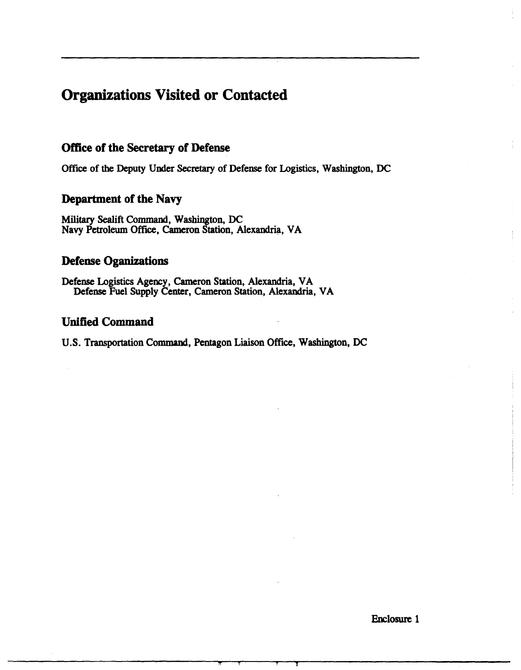## Organizations Visited or Contacted

## Office of the Secretary of Defense

Office of the Deputy Under Secretary of Defense for Logistics, Washington, DC

## Department of the Navy

Military Sealift Command, Washington, DC Navy Petroleum Office, Cameron Station, Alexandria, VA

### **Defense Oganizations**

Defense Logistics Agency, Cameron Station, Alexandria, VA Defense Fuel Supply Center, Cameron Station, Alexandria, VA

## Unified Command

U.S. Transportation Command, Pentagon Liaison Office, Washington, DC

Enclosure 1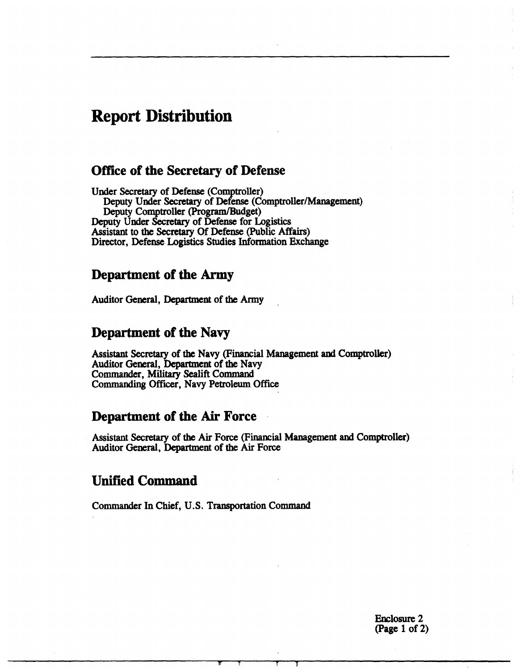## Report Distribution

## Office of the Secretary of Defense

Under Secretary of Defense (Comptroller) Deputy Under Secretary of Defense (Comptroller/Management) Deputy Comptroller (Program/Budget) Deputy Under Secretary of Defense for Logistics Assistant to the Secretary Of Defense (Public Affairs) Director, Defense Logistics Studies Information Exchange

## Department of the Army

Auditor General, Department of the Army

## Department of the Navy

Assistant Secretary of the Navy (Financial Management and Comptroller) Auditor General, Department of the Navy Commander, Military Sealift Command Commanding Officer, Navy Petroleum Office

## Department of the Air Force

Assistant Secretary of the Air Force (Financial Management and Comptroller) Auditor General, Department of the Air Force

## Unified Command

Commander In Chief, U.S. Transportation Command

Enclosure 2 (Page 1 of 2)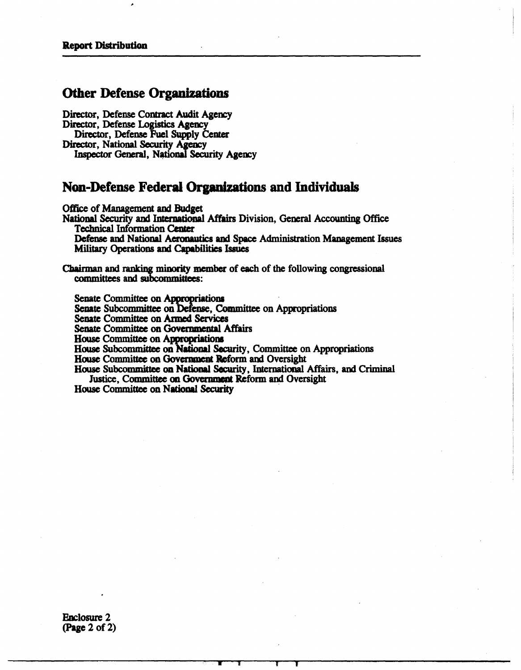## Other Defense Organizations

Director, Defense Contract Audit Agency Director, Defense Logistics Agency Director, Defense Fuel Supply Center Director, National Security Agency Inspector General, National Security Agency

## Non-Defense Federal Organizations and Individuals

Office of Management and Budget

National Security and lntemationa1 Affairs Division, General Accounting Office Technical Information Center

Defense and National Aeronautics and Space Administration Management Issues Military Operations and Capabilities Issues

Chairman and ranking minority member of each of the following congressional committees and subcommittees:

Senate Committee on Appropriations<br>Senate Subcommittee on Defense, Committee on Appropriations

Senate Committee on Armed Services

Senate Committee on Governmental Affairs

House Committee on Appropriations

House Subcommittee on Naiional Security, Committee on Appropriations

House Committee on Government Reform and Oversight

House Subcommittee on National Security, International Affairs, and Criminal Justice, Committee on Government Reform and Oversight

House Committee on National Security

Enclosure 2 (Page 2 of 2)